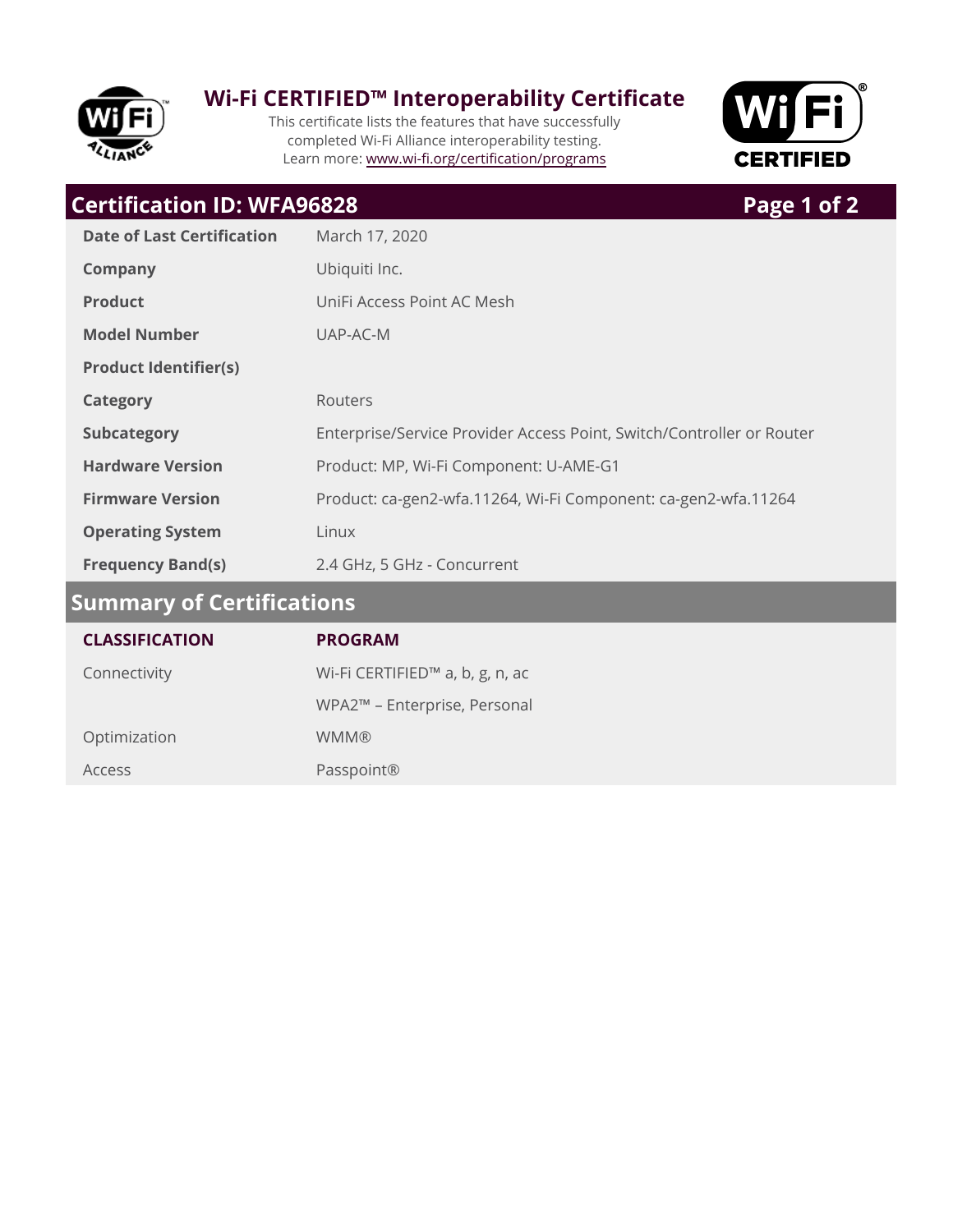

### **Wi-Fi CERTIFIED™ Interoperability Certificate**

This certificate lists the features that have successfully completed Wi-Fi Alliance interoperability testing. Learn more: www.wi-fi.org/certification/programs



# **Certification ID: WFA96828 Page 1 of 2**

| <b>Date of Last Certification</b> | March 17, 2020                                                        |  |
|-----------------------------------|-----------------------------------------------------------------------|--|
| <b>Company</b>                    | Ubiquiti Inc.                                                         |  |
| <b>Product</b>                    | UniFi Access Point AC Mesh                                            |  |
| <b>Model Number</b>               | UAP-AC-M                                                              |  |
| <b>Product Identifier(s)</b>      |                                                                       |  |
| <b>Category</b>                   | Routers                                                               |  |
| <b>Subcategory</b>                | Enterprise/Service Provider Access Point, Switch/Controller or Router |  |
| <b>Hardware Version</b>           | Product: MP, Wi-Fi Component: U-AME-G1                                |  |
| <b>Firmware Version</b>           | Product: ca-gen2-wfa.11264, Wi-Fi Component: ca-gen2-wfa.11264        |  |
| <b>Operating System</b>           | Linux                                                                 |  |
| <b>Frequency Band(s)</b>          | 2.4 GHz, 5 GHz - Concurrent                                           |  |
| Summary of Certifications         |                                                                       |  |

| <b>CLASSIFICATION</b> | <b>PROGRAM</b>                  |
|-----------------------|---------------------------------|
| Connectivity          | Wi-Fi CERTIFIED™ a, b, g, n, ac |
|                       | WPA2™ - Enterprise, Personal    |
| Optimization          | <b>WMM®</b>                     |
| Access                | Passpoint®                      |